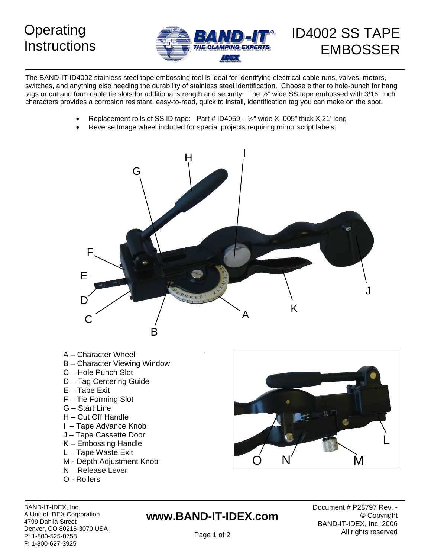## **Instructions**



# EMBOSSER

The BAND-IT ID4002 stainless steel tape embossing tool is ideal for identifying electrical cable runs, valves, motors, switches, and anything else needing the durability of stainless steel identification. Choose either to hole-punch for hang tags or cut and form cable tie slots for additional strength and security. The 1/2" wide SS tape embossed with 3/16" inch characters provides a corrosion resistant, easy-to-read, quick to install, identification tag you can make on the spot.

- Replacement rolls of SS ID tape: Part #  $ID4059 \frac{1}{2}$ " wide X .005" thick X 21' long
- Reverse Image wheel included for special projects requiring mirror script labels.



- A Character Wheel
- B Character Viewing Window
- C Hole Punch Slot
- D Tag Centering Guide
- E Tape Exit
- F Tie Forming Slot
- G Start Line
- H Cut Off Handle
- I Tape Advance Knob
- J Tape Cassette Door
- $K$  Embossing Handle
- L Tape Waste Exit
- 
- N Release Lever
- O Rollers



A Unit of IDEX Corporation 4799 Dahlia Street Denver, CO 80216-3070 USA P: 1-800-525-0758 F: 1-800-627-3925

## **www.BAND-IT-IDEX.com**

BAND-IT-IDEX, Inc. **BAND-IT-IDEX, Inc. BAND-IT-IDEX, Inc. BAND-IT-IDEX**, Inc. © Copyright BAND-IT-IDEX, Inc. 2006 All rights reserved

Page 1 of 2